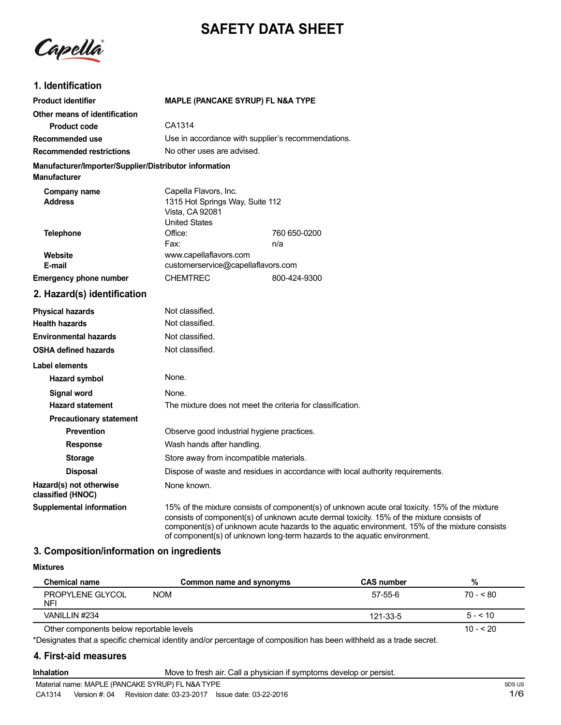# **SAFETY DATA SHEET**

Capella

## **1. Identification**

| <b>Product identifier</b>                                                     | MAPLE (PANCAKE SYRUP) FL N&A TYPE                                                                                                                                                                                                                                                                                                                                        |  |  |
|-------------------------------------------------------------------------------|--------------------------------------------------------------------------------------------------------------------------------------------------------------------------------------------------------------------------------------------------------------------------------------------------------------------------------------------------------------------------|--|--|
| Other means of identification                                                 |                                                                                                                                                                                                                                                                                                                                                                          |  |  |
| <b>Product code</b>                                                           | CA1314                                                                                                                                                                                                                                                                                                                                                                   |  |  |
| Recommended use                                                               | Use in accordance with supplier's recommendations.                                                                                                                                                                                                                                                                                                                       |  |  |
| <b>Recommended restrictions</b>                                               | No other uses are advised.                                                                                                                                                                                                                                                                                                                                               |  |  |
| Manufacturer/Importer/Supplier/Distributor information<br><b>Manufacturer</b> |                                                                                                                                                                                                                                                                                                                                                                          |  |  |
| Company name<br><b>Address</b>                                                | Capella Flavors, Inc.<br>1315 Hot Springs Way, Suite 112<br>Vista, CA 92081<br><b>United States</b>                                                                                                                                                                                                                                                                      |  |  |
| <b>Telephone</b>                                                              | Office:<br>760 650-0200                                                                                                                                                                                                                                                                                                                                                  |  |  |
|                                                                               | Fax:<br>n/a                                                                                                                                                                                                                                                                                                                                                              |  |  |
| Website<br>E-mail                                                             | www.capellaflavors.com<br>customerservice@capellaflavors.com                                                                                                                                                                                                                                                                                                             |  |  |
| <b>Emergency phone number</b>                                                 | <b>CHEMTREC</b><br>800-424-9300                                                                                                                                                                                                                                                                                                                                          |  |  |
|                                                                               |                                                                                                                                                                                                                                                                                                                                                                          |  |  |
| 2. Hazard(s) identification                                                   |                                                                                                                                                                                                                                                                                                                                                                          |  |  |
| <b>Physical hazards</b>                                                       | Not classified.                                                                                                                                                                                                                                                                                                                                                          |  |  |
| <b>Health hazards</b>                                                         | Not classified.                                                                                                                                                                                                                                                                                                                                                          |  |  |
| <b>Environmental hazards</b>                                                  | Not classified.                                                                                                                                                                                                                                                                                                                                                          |  |  |
| <b>OSHA defined hazards</b>                                                   | Not classified.                                                                                                                                                                                                                                                                                                                                                          |  |  |
| Label elements                                                                |                                                                                                                                                                                                                                                                                                                                                                          |  |  |
| Hazard symbol                                                                 | None.                                                                                                                                                                                                                                                                                                                                                                    |  |  |
| <b>Signal word</b>                                                            | None.                                                                                                                                                                                                                                                                                                                                                                    |  |  |
| <b>Hazard statement</b>                                                       | The mixture does not meet the criteria for classification.                                                                                                                                                                                                                                                                                                               |  |  |
| <b>Precautionary statement</b>                                                |                                                                                                                                                                                                                                                                                                                                                                          |  |  |
| <b>Prevention</b>                                                             | Observe good industrial hygiene practices.                                                                                                                                                                                                                                                                                                                               |  |  |
| <b>Response</b>                                                               | Wash hands after handling.                                                                                                                                                                                                                                                                                                                                               |  |  |
| <b>Storage</b>                                                                | Store away from incompatible materials.                                                                                                                                                                                                                                                                                                                                  |  |  |
| <b>Disposal</b>                                                               | Dispose of waste and residues in accordance with local authority requirements.                                                                                                                                                                                                                                                                                           |  |  |
| Hazard(s) not otherwise<br>classified (HNOC)                                  | None known.                                                                                                                                                                                                                                                                                                                                                              |  |  |
| <b>Supplemental information</b>                                               | 15% of the mixture consists of component(s) of unknown acute oral toxicity. 15% of the mixture<br>consists of component(s) of unknown acute dermal toxicity. 15% of the mixture consists of<br>component(s) of unknown acute hazards to the aquatic environment. 15% of the mixture consists<br>of component(s) of unknown long-term hazards to the aquatic environment. |  |  |

## **3. Composition/information on ingredients**

#### **Mixtures**

| Chemical name                            | Common name and synonyms | <b>CAS number</b> | %          |
|------------------------------------------|--------------------------|-------------------|------------|
| <b>PROPYLENE GLYCOL</b><br>NFI           | <b>NOM</b>               | 57-55-6           | $70 - 80$  |
| VANILLIN #234                            |                          | 121-33-5          | $5 - 510$  |
| Other components below reportable levels |                          |                   | $10 - 520$ |

\*Designates that a specific chemical identity and/or percentage of composition has been withheld as a trade secret.

## **4. First-aid measures**

**Inhalation** Move to fresh air. Call a physician if symptoms develop or persist.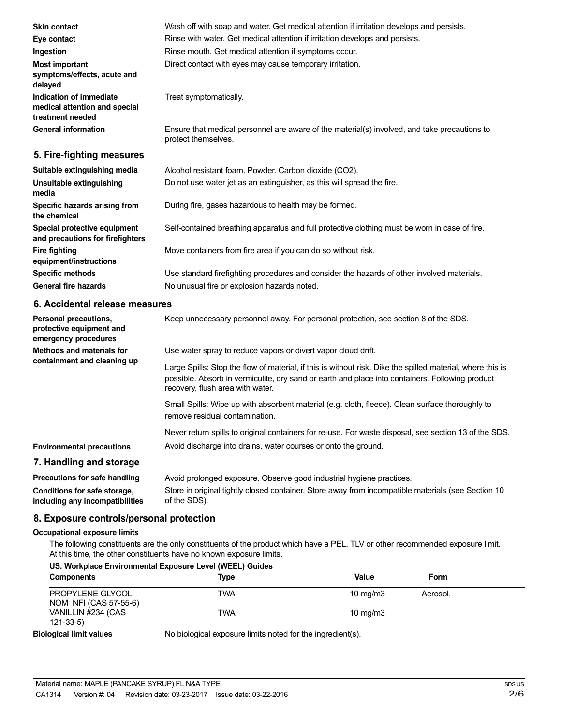| <b>Skin contact</b>                                                          | Wash off with soap and water. Get medical attention if irritation develops and persists.                                                                                                                                                          |
|------------------------------------------------------------------------------|---------------------------------------------------------------------------------------------------------------------------------------------------------------------------------------------------------------------------------------------------|
| Eye contact                                                                  | Rinse with water. Get medical attention if irritation develops and persists.                                                                                                                                                                      |
| Ingestion                                                                    | Rinse mouth. Get medical attention if symptoms occur.                                                                                                                                                                                             |
| <b>Most important</b><br>symptoms/effects, acute and<br>delayed              | Direct contact with eyes may cause temporary irritation.                                                                                                                                                                                          |
| Indication of immediate<br>medical attention and special<br>treatment needed | Treat symptomatically.                                                                                                                                                                                                                            |
| <b>General information</b>                                                   | Ensure that medical personnel are aware of the material(s) involved, and take precautions to<br>protect themselves.                                                                                                                               |
| 5. Fire-fighting measures                                                    |                                                                                                                                                                                                                                                   |
| Suitable extinguishing media                                                 | Alcohol resistant foam. Powder. Carbon dioxide (CO2).                                                                                                                                                                                             |
| Unsuitable extinguishing<br>media                                            | Do not use water jet as an extinguisher, as this will spread the fire.                                                                                                                                                                            |
| Specific hazards arising from<br>the chemical                                | During fire, gases hazardous to health may be formed.                                                                                                                                                                                             |
| Special protective equipment<br>and precautions for firefighters             | Self-contained breathing apparatus and full protective clothing must be worn in case of fire.                                                                                                                                                     |
| <b>Fire fighting</b><br>equipment/instructions                               | Move containers from fire area if you can do so without risk.                                                                                                                                                                                     |
| <b>Specific methods</b>                                                      | Use standard firefighting procedures and consider the hazards of other involved materials.                                                                                                                                                        |
| <b>General fire hazards</b>                                                  | No unusual fire or explosion hazards noted.                                                                                                                                                                                                       |
| 6. Accidental release measures                                               |                                                                                                                                                                                                                                                   |
| Personal precautions,<br>protective equipment and<br>emergency procedures    | Keep unnecessary personnel away. For personal protection, see section 8 of the SDS.                                                                                                                                                               |
| <b>Methods and materials for</b>                                             | Use water spray to reduce vapors or divert vapor cloud drift.                                                                                                                                                                                     |
| containment and cleaning up                                                  | Large Spills: Stop the flow of material, if this is without risk. Dike the spilled material, where this is<br>possible. Absorb in vermiculite, dry sand or earth and place into containers. Following product<br>recovery, flush area with water. |
|                                                                              | Small Spills: Wipe up with absorbent material (e.g. cloth, fleece). Clean surface thoroughly to<br>remove residual contamination.                                                                                                                 |
|                                                                              | Never return spills to original containers for re-use. For waste disposal, see section 13 of the SDS.                                                                                                                                             |
| <b>Environmental precautions</b>                                             | Avoid discharge into drains, water courses or onto the ground.                                                                                                                                                                                    |
| 7. Handling and storage                                                      |                                                                                                                                                                                                                                                   |
| Precautions for safe handling                                                | Avoid prolonged exposure. Observe good industrial hygiene practices.                                                                                                                                                                              |
| Conditions for safe storage,<br>including any incompatibilities              | Store in original tightly closed container. Store away from incompatible materials (see Section 10<br>of the SDS).                                                                                                                                |

## **8. Exposure controls/personal protection**

#### **Occupational exposure limits**

**including any incompatibilities**

The following constituents are the only constituents of the product which have a PEL, TLV or other recommended exposure limit. At this time, the other constituents have no known exposure limits.

| US. Workplace Environmental Exposure Level (WEEL) Guides |                                                            |                   |          |  |
|----------------------------------------------------------|------------------------------------------------------------|-------------------|----------|--|
| <b>Components</b>                                        | Type                                                       | Value             | Form     |  |
| PROPYLENE GLYCOL<br>NOM NFI (CAS 57-55-6)                | TWA                                                        | 10 $mq/m3$        | Aerosol. |  |
| VANILLIN #234 (CAS<br>$121 - 33 - 5$                     | twa                                                        | $10 \text{ mg/m}$ |          |  |
| <b>Biological limit values</b>                           | No biological exposure limits noted for the ingredient(s). |                   |          |  |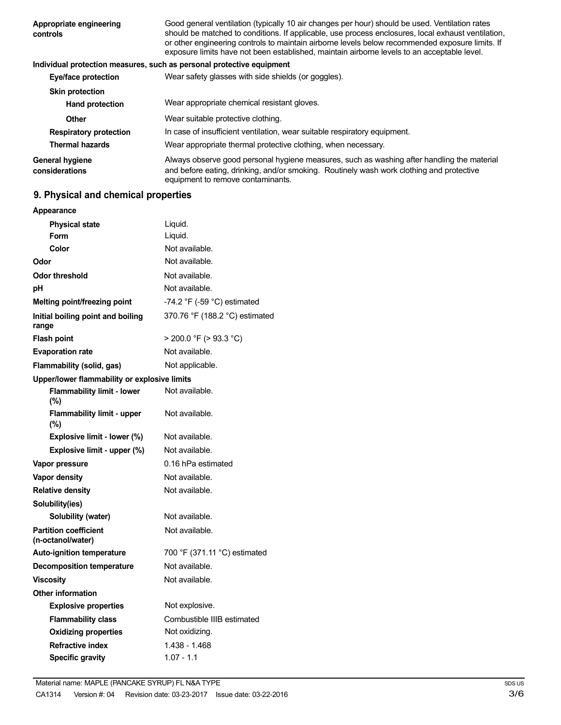| Appropriate engineering<br>controls      | Good general ventilation (typically 10 air changes per hour) should be used. Ventilation rates<br>should be matched to conditions. If applicable, use process enclosures, local exhaust ventilation,<br>or other engineering controls to maintain airborne levels below recommended exposure limits. If<br>exposure limits have not been established, maintain airborne levels to an acceptable level. |
|------------------------------------------|--------------------------------------------------------------------------------------------------------------------------------------------------------------------------------------------------------------------------------------------------------------------------------------------------------------------------------------------------------------------------------------------------------|
|                                          | Individual protection measures, such as personal protective equipment                                                                                                                                                                                                                                                                                                                                  |
| Eye/face protection                      | Wear safety glasses with side shields (or goggles).                                                                                                                                                                                                                                                                                                                                                    |
| <b>Skin protection</b>                   |                                                                                                                                                                                                                                                                                                                                                                                                        |
| <b>Hand protection</b>                   | Wear appropriate chemical resistant gloves.                                                                                                                                                                                                                                                                                                                                                            |
| Other                                    | Wear suitable protective clothing.                                                                                                                                                                                                                                                                                                                                                                     |
| <b>Respiratory protection</b>            | In case of insufficient ventilation, wear suitable respiratory equipment.                                                                                                                                                                                                                                                                                                                              |
| <b>Thermal hazards</b>                   | Wear appropriate thermal protective clothing, when necessary.                                                                                                                                                                                                                                                                                                                                          |
| <b>General hygiene</b><br>considerations | Always observe good personal hygiene measures, such as washing after handling the material<br>and before eating, drinking, and/or smoking. Routinely wash work clothing and protective<br>equipment to remove contaminants.                                                                                                                                                                            |

## **9. Physical and chemical properties**

| Appearance                                        |                                |  |
|---------------------------------------------------|--------------------------------|--|
| <b>Physical state</b>                             | Liquid.                        |  |
| Form                                              | Liquid.                        |  |
| Color                                             | Not available.                 |  |
| Odor                                              | Not available.                 |  |
| <b>Odor threshold</b>                             | Not available.                 |  |
| рH                                                | Not available.                 |  |
| Melting point/freezing point                      | -74.2 °F (-59 °C) estimated    |  |
| Initial boiling point and boiling<br>range        | 370.76 °F (188.2 °C) estimated |  |
| <b>Flash point</b>                                | $>$ 200.0 °F ( $>$ 93.3 °C)    |  |
| <b>Evaporation rate</b>                           | Not available.                 |  |
| Flammability (solid, gas)                         | Not applicable.                |  |
| Upper/lower flammability or explosive limits      |                                |  |
| <b>Flammability limit - lower</b><br>$(\% )$      | Not available.                 |  |
| <b>Flammability limit - upper</b><br>$(\%)$       | Not available.                 |  |
| Explosive limit - lower (%)                       | Not available.                 |  |
| Explosive limit - upper (%)                       | Not available.                 |  |
| Vapor pressure                                    | 0.16 hPa estimated             |  |
| Vapor density                                     | Not available.                 |  |
| <b>Relative density</b>                           | Not available.                 |  |
| Solubility(ies)                                   |                                |  |
| Solubility (water)                                | Not available.                 |  |
| <b>Partition coefficient</b><br>(n-octanol/water) | Not available.                 |  |
| <b>Auto-ignition temperature</b>                  | 700 °F (371.11 °C) estimated   |  |
| <b>Decomposition temperature</b>                  | Not available.                 |  |
| <b>Viscosity</b>                                  | Not available.                 |  |
| <b>Other information</b>                          |                                |  |
| <b>Explosive properties</b>                       | Not explosive.                 |  |
| <b>Flammability class</b>                         | Combustible IIIB estimated     |  |
| <b>Oxidizing properties</b>                       | Not oxidizing.                 |  |
| <b>Refractive index</b>                           | 1.438 - 1.468                  |  |
| <b>Specific gravity</b>                           | $1.07 - 1.1$                   |  |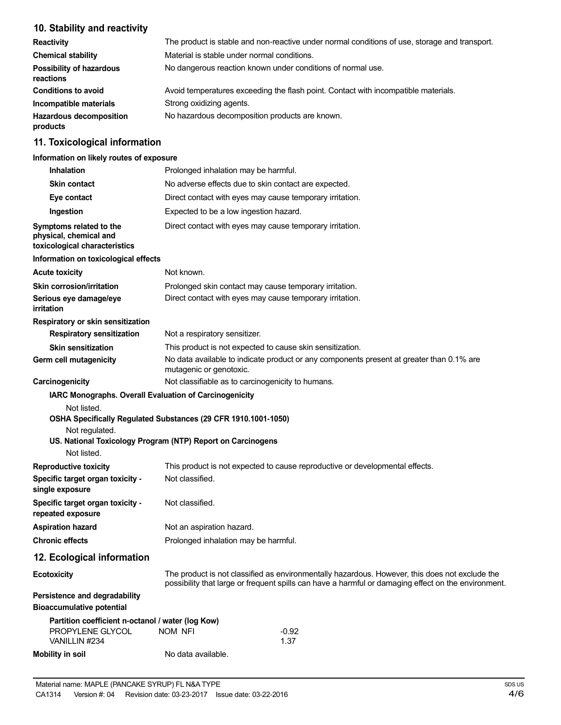## **10. Stability and reactivity**

| <b>Reactivity</b>                            | The product is stable and non-reactive under normal conditions of use, storage and transport. |
|----------------------------------------------|-----------------------------------------------------------------------------------------------|
| <b>Chemical stability</b>                    | Material is stable under normal conditions.                                                   |
| <b>Possibility of hazardous</b><br>reactions | No dangerous reaction known under conditions of normal use.                                   |
| <b>Conditions to avoid</b>                   | Avoid temperatures exceeding the flash point. Contact with incompatible materials.            |
| Incompatible materials                       | Strong oxidizing agents.                                                                      |
| <b>Hazardous decomposition</b><br>products   | No hazardous decomposition products are known.                                                |

## **11. Toxicological information**

#### **Information on likely routes of exposure**

| <b>Inhalation</b>                                                                  | Prolonged inhalation may be harmful.                                                                                          |                                                                                                                                                                                                       |  |
|------------------------------------------------------------------------------------|-------------------------------------------------------------------------------------------------------------------------------|-------------------------------------------------------------------------------------------------------------------------------------------------------------------------------------------------------|--|
| <b>Skin contact</b>                                                                | No adverse effects due to skin contact are expected.                                                                          |                                                                                                                                                                                                       |  |
| Eye contact                                                                        | Direct contact with eyes may cause temporary irritation.                                                                      |                                                                                                                                                                                                       |  |
| Ingestion                                                                          | Expected to be a low ingestion hazard.                                                                                        |                                                                                                                                                                                                       |  |
| Symptoms related to the<br>physical, chemical and<br>toxicological characteristics | Direct contact with eyes may cause temporary irritation.                                                                      |                                                                                                                                                                                                       |  |
| Information on toxicological effects                                               |                                                                                                                               |                                                                                                                                                                                                       |  |
| <b>Acute toxicity</b>                                                              | Not known.                                                                                                                    |                                                                                                                                                                                                       |  |
| <b>Skin corrosion/irritation</b>                                                   | Prolonged skin contact may cause temporary irritation.                                                                        |                                                                                                                                                                                                       |  |
| Serious eye damage/eye<br>irritation                                               | Direct contact with eyes may cause temporary irritation.                                                                      |                                                                                                                                                                                                       |  |
| Respiratory or skin sensitization                                                  |                                                                                                                               |                                                                                                                                                                                                       |  |
| <b>Respiratory sensitization</b>                                                   | Not a respiratory sensitizer.                                                                                                 |                                                                                                                                                                                                       |  |
| <b>Skin sensitization</b>                                                          | This product is not expected to cause skin sensitization.                                                                     |                                                                                                                                                                                                       |  |
| Germ cell mutagenicity                                                             | mutagenic or genotoxic.                                                                                                       | No data available to indicate product or any components present at greater than 0.1% are                                                                                                              |  |
| Carcinogenicity                                                                    | Not classifiable as to carcinogenicity to humans.                                                                             |                                                                                                                                                                                                       |  |
| Not listed.<br>Not regulated.<br>Not listed.                                       | OSHA Specifically Regulated Substances (29 CFR 1910.1001-1050)<br>US. National Toxicology Program (NTP) Report on Carcinogens |                                                                                                                                                                                                       |  |
| <b>Reproductive toxicity</b>                                                       |                                                                                                                               | This product is not expected to cause reproductive or developmental effects.                                                                                                                          |  |
| Specific target organ toxicity -<br>single exposure                                | Not classified.                                                                                                               |                                                                                                                                                                                                       |  |
| Specific target organ toxicity -<br>repeated exposure                              | Not classified.                                                                                                               |                                                                                                                                                                                                       |  |
| <b>Aspiration hazard</b>                                                           | Not an aspiration hazard.                                                                                                     |                                                                                                                                                                                                       |  |
| <b>Chronic effects</b>                                                             | Prolonged inhalation may be harmful.                                                                                          |                                                                                                                                                                                                       |  |
| 12. Ecological information                                                         |                                                                                                                               |                                                                                                                                                                                                       |  |
| <b>Ecotoxicity</b>                                                                 |                                                                                                                               | The product is not classified as environmentally hazardous. However, this does not exclude the<br>possibility that large or frequent spills can have a harmful or damaging effect on the environment. |  |
| Persistence and degradability<br><b>Bioaccumulative potential</b>                  |                                                                                                                               |                                                                                                                                                                                                       |  |
| Partition coefficient n-octanol / water (log Kow)                                  |                                                                                                                               |                                                                                                                                                                                                       |  |
| PROPYLENE GLYCOL<br>VANILLIN #234                                                  | NOM NFI                                                                                                                       | $-0.92$<br>1.37                                                                                                                                                                                       |  |
| <b>Mobility in soil</b>                                                            | No data available.                                                                                                            |                                                                                                                                                                                                       |  |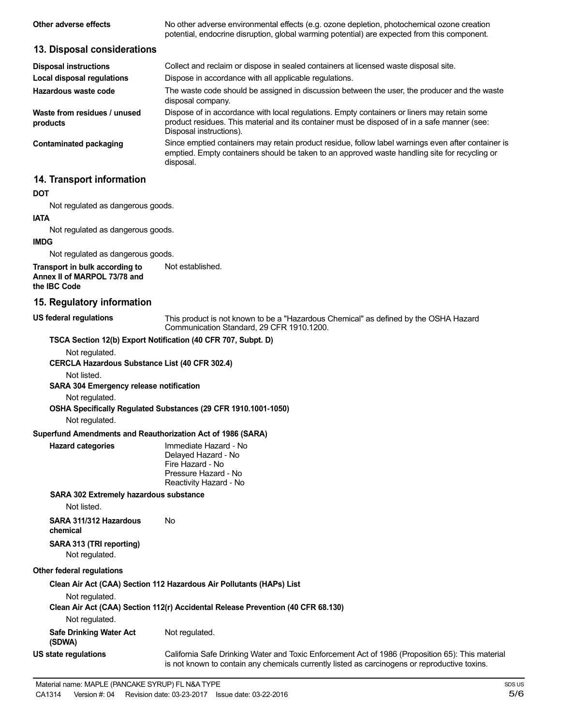| Other adverse effects                                                          | No other adverse environmental effects (e.g. ozone depletion, photochemical ozone creation<br>potential, endocrine disruption, global warming potential) are expected from this component.                             |
|--------------------------------------------------------------------------------|------------------------------------------------------------------------------------------------------------------------------------------------------------------------------------------------------------------------|
| 13. Disposal considerations                                                    |                                                                                                                                                                                                                        |
| <b>Disposal instructions</b>                                                   | Collect and reclaim or dispose in sealed containers at licensed waste disposal site.                                                                                                                                   |
| <b>Local disposal regulations</b>                                              | Dispose in accordance with all applicable regulations.                                                                                                                                                                 |
| Hazardous waste code                                                           | The waste code should be assigned in discussion between the user, the producer and the waste<br>disposal company.                                                                                                      |
| Waste from residues / unused<br>products                                       | Dispose of in accordance with local regulations. Empty containers or liners may retain some<br>product residues. This material and its container must be disposed of in a safe manner (see:<br>Disposal instructions). |
| <b>Contaminated packaging</b>                                                  | Since emptied containers may retain product residue, follow label warnings even after container is<br>emptied. Empty containers should be taken to an approved waste handling site for recycling or<br>disposal.       |
| 14. Transport information                                                      |                                                                                                                                                                                                                        |
| <b>DOT</b>                                                                     |                                                                                                                                                                                                                        |
| Not regulated as dangerous goods.                                              |                                                                                                                                                                                                                        |
| <b>IATA</b>                                                                    |                                                                                                                                                                                                                        |
| Not regulated as dangerous goods.                                              |                                                                                                                                                                                                                        |
| <b>IMDG</b>                                                                    |                                                                                                                                                                                                                        |
| Not regulated as dangerous goods.                                              |                                                                                                                                                                                                                        |
| Transport in bulk according to<br>Annex II of MARPOL 73/78 and<br>the IBC Code | Not established.                                                                                                                                                                                                       |
| 15. Regulatory information                                                     |                                                                                                                                                                                                                        |
| <b>US federal regulations</b>                                                  | This product is not known to be a "Hazardous Chemical" as defined by the OSHA Hazard<br>Communication Standard, 29 CFR 1910.1200.                                                                                      |
|                                                                                | TSCA Section 12(b) Export Notification (40 CFR 707, Subpt. D)                                                                                                                                                          |
| Not regulated.                                                                 |                                                                                                                                                                                                                        |
| CERCLA Hazardous Substance List (40 CFR 302.4)                                 |                                                                                                                                                                                                                        |
| Not listed.                                                                    |                                                                                                                                                                                                                        |
| <b>SARA 304 Emergency release notification</b>                                 |                                                                                                                                                                                                                        |
| Not regulated.                                                                 |                                                                                                                                                                                                                        |
|                                                                                | OSHA Specifically Regulated Substances (29 CFR 1910.1001-1050)                                                                                                                                                         |
| Not regulated.                                                                 |                                                                                                                                                                                                                        |

#### **Superfund Amendments and Reauthorization Act of 1986 (SARA)**

| Immediate Hazard - No  |
|------------------------|
| Delayed Hazard - No    |
| Fire Hazard - No       |
| Pressure Hazard - No   |
| Reactivity Hazard - No |
|                        |

#### **SARA 302 Extremely hazardous substance**

Not listed.

**Hazard** categories

**SARA 311/312 Hazardous** No **chemical SARA 313 (TRI reporting)**

Not regulated.

#### **Other federal regulations**

**Clean Air Act (CAA) Section 112 Hazardous Air Pollutants (HAPs) List**

Not regulated.

**Clean Air Act (CAA) Section 112(r) Accidental Release Prevention (40 CFR 68.130)** Not regulated.

**Safe Drinking Water Act (SDWA) US state regulations** Not regulated.

California Safe Drinking Water and Toxic Enforcement Act of 1986 (Proposition 65): This material is not known to contain any chemicals currently listed as carcinogens or reproductive toxins.